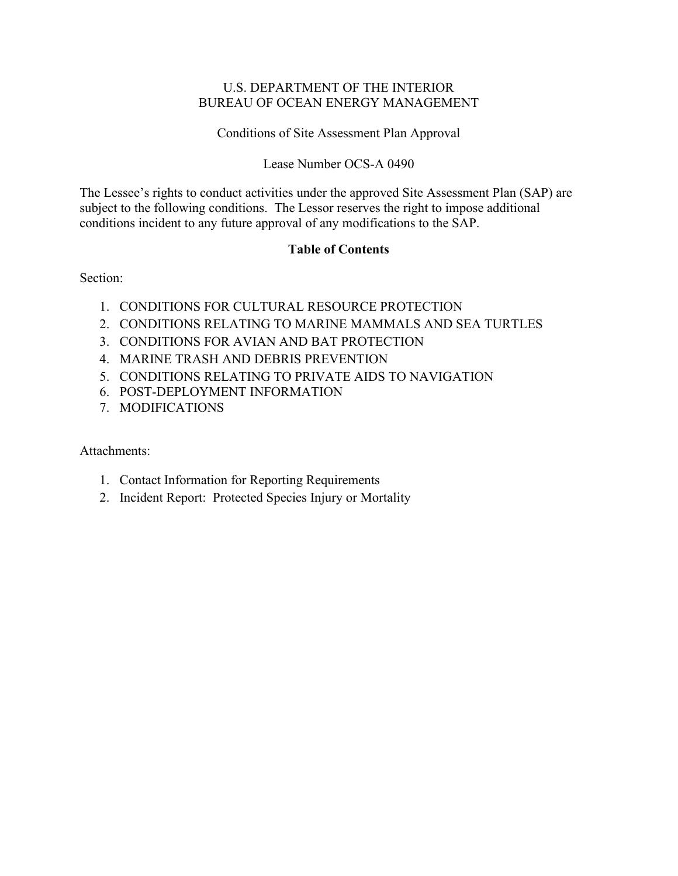## U.S. DEPARTMENT OF THE INTERIOR BUREAU OF OCEAN ENERGY MANAGEMENT

Conditions of Site Assessment Plan Approval

## Lease Number OCS-A 0490

The Lessee's rights to conduct activities under the approved Site Assessment Plan (SAP) are subject to the following conditions. The Lessor reserves the right to impose additional conditions incident to any future approval of any modifications to the SAP.

## **Table of Contents**

Section:

- 1. CONDITIONS FOR CULTURAL RESOURCE PROTECTION
- 2. CONDITIONS RELATING TO MARINE MAMMALS AND SEA TURTLES
- 3. CONDITIONS FOR AVIAN AND BAT PROTECTION
- 4. MARINE TRASH AND DEBRIS PREVENTION
- 5. CONDITIONS RELATING TO PRIVATE AIDS TO NAVIGATION
- 6. POST-DEPLOYMENT INFORMATION
- 7. MODIFICATIONS

Attachments:

- 1. Contact Information for Reporting Requirements
- 2. Incident Report: Protected Species Injury or Mortality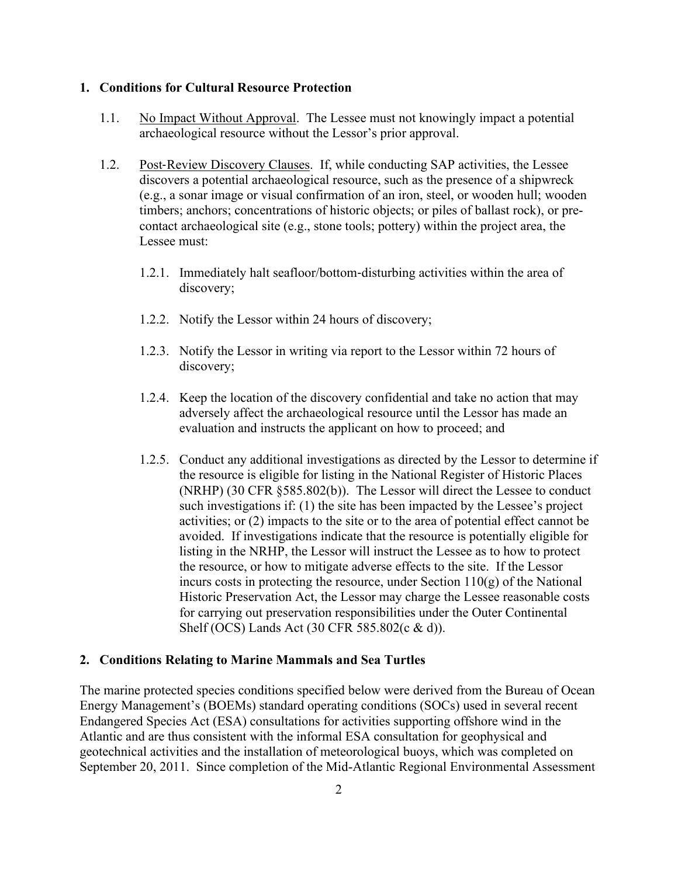#### **1. Conditions for Cultural Resource Protection**

- 1.1. No Impact Without Approval. The Lessee must not knowingly impact a potential archaeological resource without the Lessor's prior approval.
- 1.2. Post‐Review Discovery Clauses. If, while conducting SAP activities, the Lessee discovers a potential archaeological resource, such as the presence of a shipwreck (e.g., a sonar image or visual confirmation of an iron, steel, or wooden hull; wooden timbers; anchors; concentrations of historic objects; or piles of ballast rock), or precontact archaeological site (e.g., stone tools; pottery) within the project area, the Lessee must:
	- 1.2.1. Immediately halt seafloor/bottom-disturbing activities within the area of discovery;
	- 1.2.2. Notify the Lessor within 24 hours of discovery;
	- 1.2.3. Notify the Lessor in writing via report to the Lessor within 72 hours of discovery;
	- 1.2.4. Keep the location of the discovery confidential and take no action that may adversely affect the archaeological resource until the Lessor has made an evaluation and instructs the applicant on how to proceed; and
	- 1.2.5. Conduct any additional investigations as directed by the Lessor to determine if the resource is eligible for listing in the National Register of Historic Places (NRHP) (30 CFR §585.802(b)). The Lessor will direct the Lessee to conduct such investigations if: (1) the site has been impacted by the Lessee's project activities; or (2) impacts to the site or to the area of potential effect cannot be avoided. If investigations indicate that the resource is potentially eligible for listing in the NRHP, the Lessor will instruct the Lessee as to how to protect the resource, or how to mitigate adverse effects to the site. If the Lessor incurs costs in protecting the resource, under Section  $110(g)$  of the National Historic Preservation Act, the Lessor may charge the Lessee reasonable costs for carrying out preservation responsibilities under the Outer Continental Shelf (OCS) Lands Act (30 CFR 585.802(c & d)).

#### **2. Conditions Relating to Marine Mammals and Sea Turtles**

The marine protected species conditions specified below were derived from the Bureau of Ocean Energy Management's (BOEMs) standard operating conditions (SOCs) used in several recent Endangered Species Act (ESA) consultations for activities supporting offshore wind in the Atlantic and are thus consistent with the informal ESA consultation for geophysical and geotechnical activities and the installation of meteorological buoys, which was completed on September 20, 2011. Since completion of the Mid-Atlantic Regional Environmental Assessment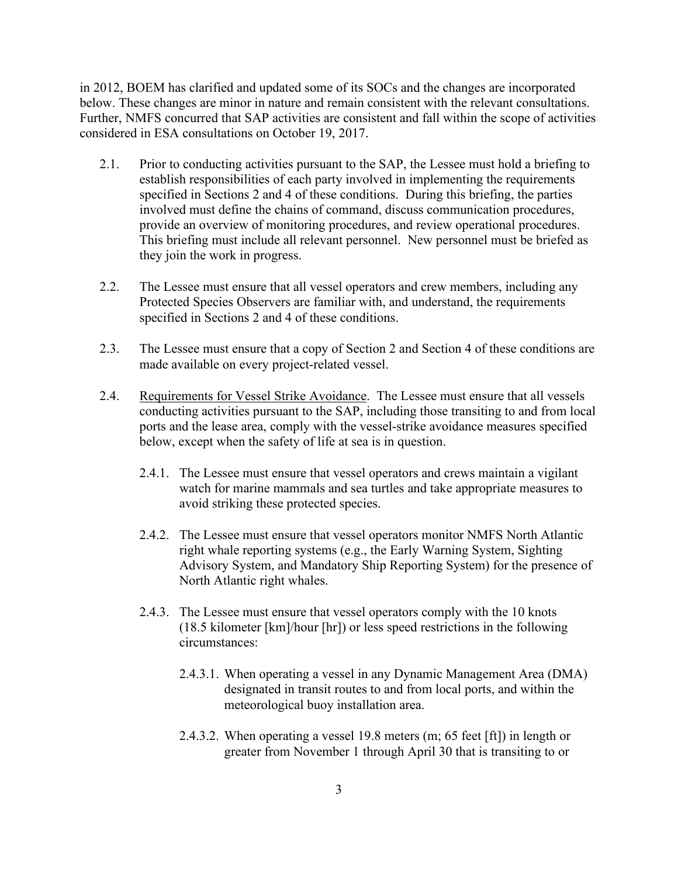in 2012, BOEM has clarified and updated some of its SOCs and the changes are incorporated below. These changes are minor in nature and remain consistent with the relevant consultations. Further, NMFS concurred that SAP activities are consistent and fall within the scope of activities considered in ESA consultations on October 19, 2017.

- 2.1. Prior to conducting activities pursuant to the SAP, the Lessee must hold a briefing to establish responsibilities of each party involved in implementing the requirements specified in Sections 2 and 4 of these conditions. During this briefing, the parties involved must define the chains of command, discuss communication procedures, provide an overview of monitoring procedures, and review operational procedures. This briefing must include all relevant personnel. New personnel must be briefed as they join the work in progress.
- 2.2. The Lessee must ensure that all vessel operators and crew members, including any Protected Species Observers are familiar with, and understand, the requirements specified in Sections 2 and 4 of these conditions.
- 2.3. The Lessee must ensure that a copy of Section 2 and Section 4 of these conditions are made available on every project-related vessel.
- 2.4. Requirements for Vessel Strike Avoidance. The Lessee must ensure that all vessels conducting activities pursuant to the SAP, including those transiting to and from local ports and the lease area, comply with the vessel-strike avoidance measures specified below, except when the safety of life at sea is in question.
	- 2.4.1. The Lessee must ensure that vessel operators and crews maintain a vigilant watch for marine mammals and sea turtles and take appropriate measures to avoid striking these protected species.
	- 2.4.2. The Lessee must ensure that vessel operators monitor NMFS North Atlantic right whale reporting systems (e.g., the Early Warning System, Sighting Advisory System, and Mandatory Ship Reporting System) for the presence of North Atlantic right whales.
	- 2.4.3. The Lessee must ensure that vessel operators comply with the 10 knots (18.5 kilometer [km]/hour [hr]) or less speed restrictions in the following circumstances:
		- 2.4.3.1. When operating a vessel in any Dynamic Management Area (DMA) designated in transit routes to and from local ports, and within the meteorological buoy installation area.
		- 2.4.3.2. When operating a vessel 19.8 meters (m; 65 feet [ft]) in length or greater from November 1 through April 30 that is transiting to or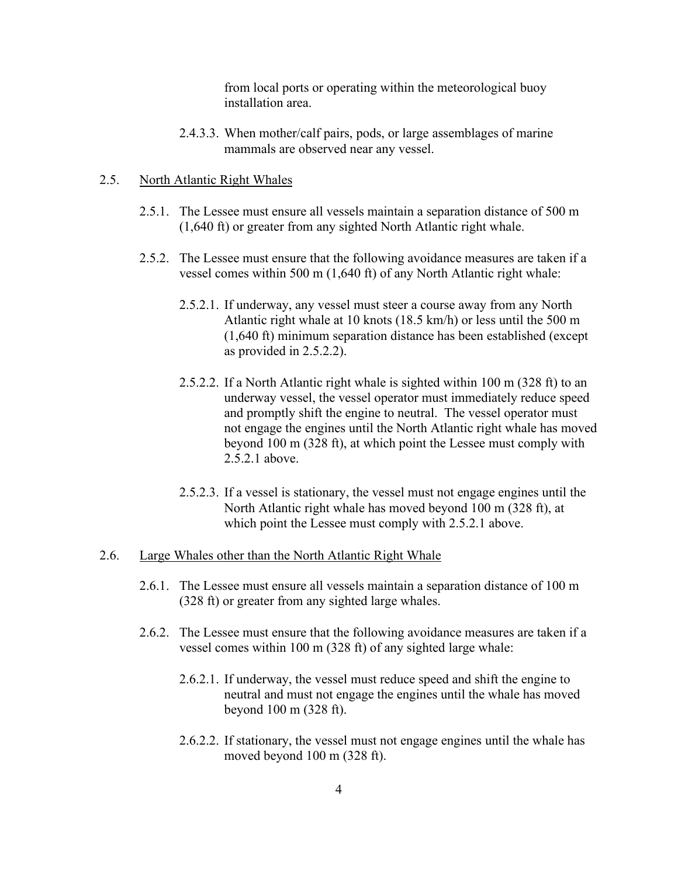from local ports or operating within the meteorological buoy installation area.

2.4.3.3. When mother/calf pairs, pods, or large assemblages of marine mammals are observed near any vessel.

#### 2.5. North Atlantic Right Whales

- 2.5.1. The Lessee must ensure all vessels maintain a separation distance of 500 m (1,640 ft) or greater from any sighted North Atlantic right whale.
- 2.5.2. The Lessee must ensure that the following avoidance measures are taken if a vessel comes within 500 m (1,640 ft) of any North Atlantic right whale:
	- 2.5.2.1. If underway, any vessel must steer a course away from any North Atlantic right whale at 10 knots (18.5 km/h) or less until the 500 m (1,640 ft) minimum separation distance has been established (except as provided in 2.5.2.2).
	- 2.5.2.2. If a North Atlantic right whale is sighted within 100 m (328 ft) to an underway vessel, the vessel operator must immediately reduce speed and promptly shift the engine to neutral. The vessel operator must not engage the engines until the North Atlantic right whale has moved beyond 100 m (328 ft), at which point the Lessee must comply with 2.5.2.1 above.
	- 2.5.2.3. If a vessel is stationary, the vessel must not engage engines until the North Atlantic right whale has moved beyond 100 m (328 ft), at which point the Lessee must comply with 2.5.2.1 above.

#### 2.6. Large Whales other than the North Atlantic Right Whale

- 2.6.1. The Lessee must ensure all vessels maintain a separation distance of 100 m (328 ft) or greater from any sighted large whales.
- 2.6.2. The Lessee must ensure that the following avoidance measures are taken if a vessel comes within 100 m (328 ft) of any sighted large whale:
	- 2.6.2.1. If underway, the vessel must reduce speed and shift the engine to neutral and must not engage the engines until the whale has moved beyond 100 m (328 ft).
	- 2.6.2.2. If stationary, the vessel must not engage engines until the whale has moved beyond 100 m (328 ft).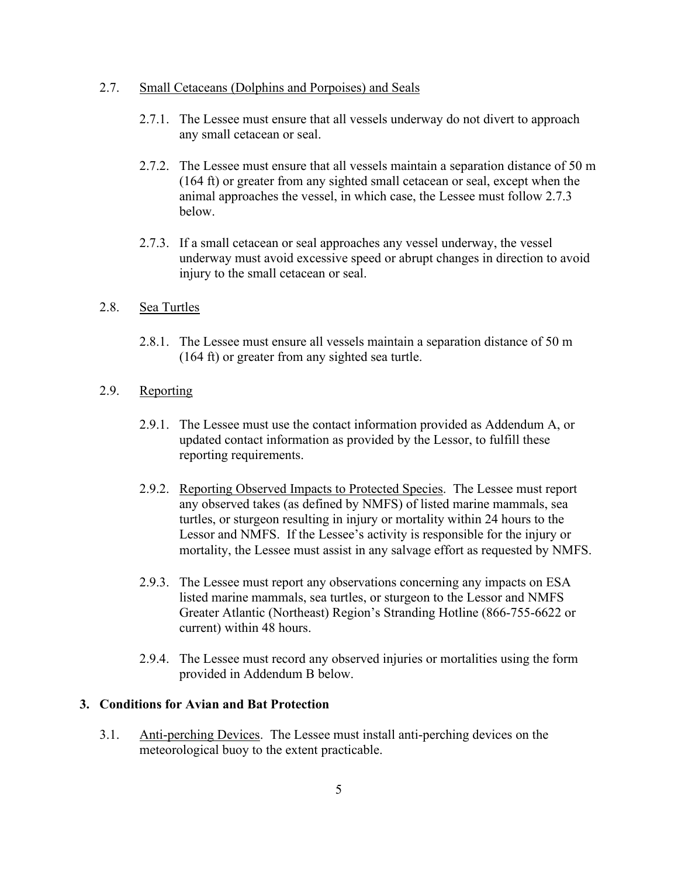#### 2.7. Small Cetaceans (Dolphins and Porpoises) and Seals

- 2.7.1. The Lessee must ensure that all vessels underway do not divert to approach any small cetacean or seal.
- 2.7.2. The Lessee must ensure that all vessels maintain a separation distance of 50 m (164 ft) or greater from any sighted small cetacean or seal, except when the animal approaches the vessel, in which case, the Lessee must follow 2.7.3 below.
- 2.7.3. If a small cetacean or seal approaches any vessel underway, the vessel underway must avoid excessive speed or abrupt changes in direction to avoid injury to the small cetacean or seal.

#### 2.8. Sea Turtles

2.8.1. The Lessee must ensure all vessels maintain a separation distance of 50 m (164 ft) or greater from any sighted sea turtle.

## 2.9. Reporting

- 2.9.1. The Lessee must use the contact information provided as Addendum A, or updated contact information as provided by the Lessor, to fulfill these reporting requirements.
- 2.9.2. Reporting Observed Impacts to Protected Species. The Lessee must report any observed takes (as defined by NMFS) of listed marine mammals, sea turtles, or sturgeon resulting in injury or mortality within 24 hours to the Lessor and NMFS. If the Lessee's activity is responsible for the injury or mortality, the Lessee must assist in any salvage effort as requested by NMFS.
- 2.9.3. The Lessee must report any observations concerning any impacts on ESA listed marine mammals, sea turtles, or sturgeon to the Lessor and NMFS Greater Atlantic (Northeast) Region's Stranding Hotline (866-755-6622 or current) within 48 hours.
- 2.9.4. The Lessee must record any observed injuries or mortalities using the form provided in Addendum B below.

#### **3. Conditions for Avian and Bat Protection**

3.1. Anti-perching Devices. The Lessee must install anti-perching devices on the meteorological buoy to the extent practicable.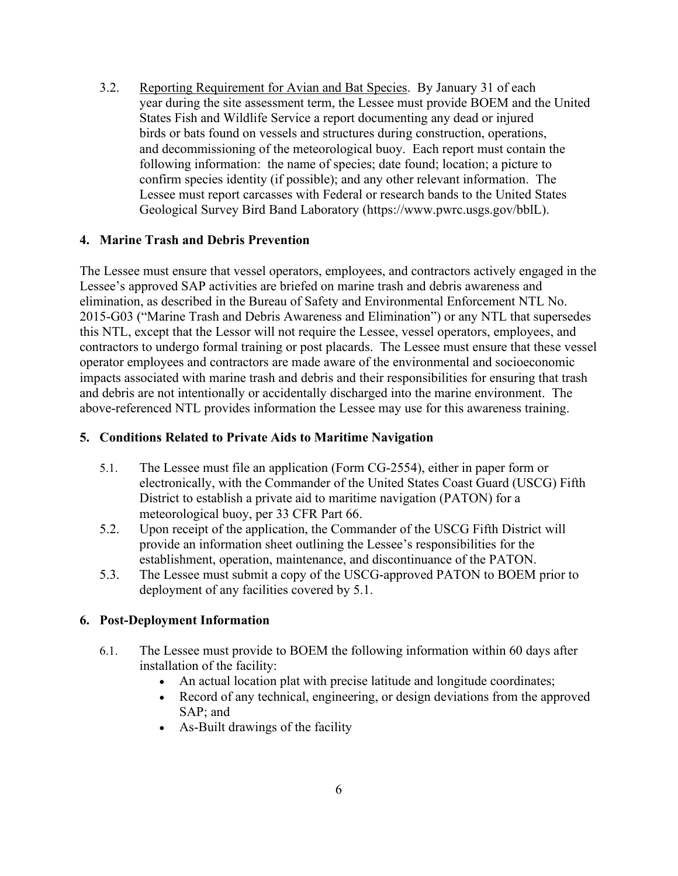3.2. Reporting Requirement for Avian and Bat Species. By January 31 of each year during the site assessment term, the Lessee must provide BOEM and the United States Fish and Wildlife Service a report documenting any dead or injured birds or bats found on vessels and structures during construction, operations, and decommissioning of the meteorological buoy. Each report must contain the following information: the name of species; date found; location; a picture to confirm species identity (if possible); and any other relevant information. The Lessee must report carcasses with Federal or research bands to the United States Geological Survey Bird Band Laboratory (https:/[/www.pwrc.usgs.gov/bblL\).](http://www.pwrc.usgs.gov/bblL))

## **4. Marine Trash and Debris Prevention**

The Lessee must ensure that vessel operators, employees, and contractors actively engaged in the Lessee's approved SAP activities are briefed on marine trash and debris awareness and elimination, as described in the Bureau of Safety and Environmental Enforcement NTL No. 2015-G03 ("Marine Trash and Debris Awareness and Elimination") or any NTL that supersedes this NTL, except that the Lessor will not require the Lessee, vessel operators, employees, and contractors to undergo formal training or post placards. The Lessee must ensure that these vessel operator employees and contractors are made aware of the environmental and socioeconomic impacts associated with marine trash and debris and their responsibilities for ensuring that trash and debris are not intentionally or accidentally discharged into the marine environment. The above-referenced NTL provides information the Lessee may use for this awareness training.

## **5. Conditions Related to Private Aids to Maritime Navigation**

- 5.1. The Lessee must file an application (Form CG-2554), either in paper form or electronically, with the Commander of the United States Coast Guard (USCG) Fifth District to establish a private aid to maritime navigation (PATON) for a meteorological buoy, per 33 CFR Part 66.
- 5.2. Upon receipt of the application, the Commander of the USCG Fifth District will provide an information sheet outlining the Lessee's responsibilities for the establishment, operation, maintenance, and discontinuance of the PATON.
- 5.3. The Lessee must submit a copy of the USCG-approved PATON to BOEM prior to deployment of any facilities covered by 5.1.

## **6. Post-Deployment Information**

- 6.1. The Lessee must provide to BOEM the following information within 60 days after installation of the facility:
	- An actual location plat with precise latitude and longitude coordinates;
	- Record of any technical, engineering, or design deviations from the approved SAP; and
	- As-Built drawings of the facility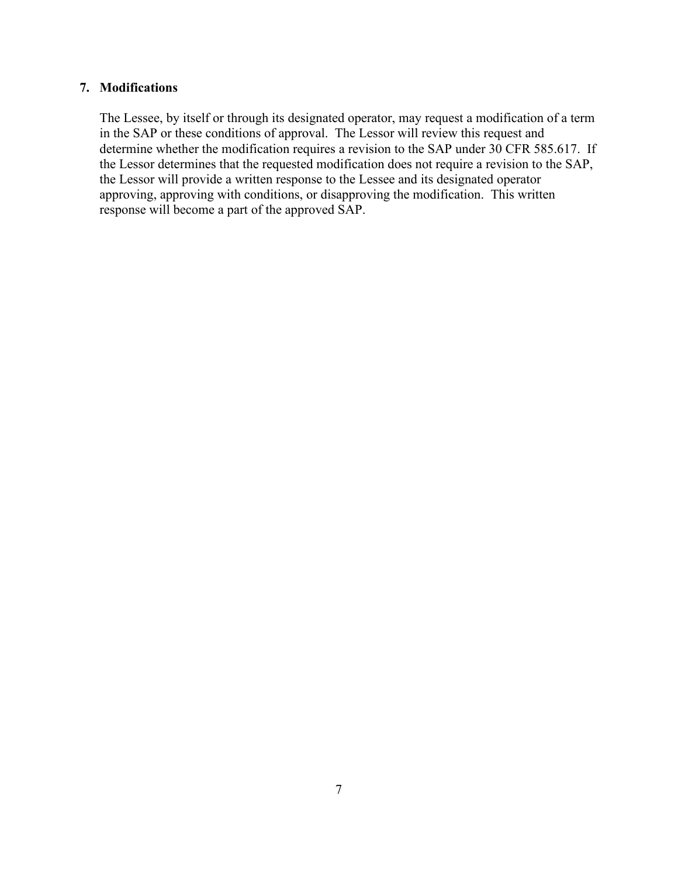## **7. Modifications**

The Lessee, by itself or through its designated operator, may request a modification of a term in the SAP or these conditions of approval. The Lessor will review this request and determine whether the modification requires a revision to the SAP under 30 CFR 585.617. If the Lessor determines that the requested modification does not require a revision to the SAP, the Lessor will provide a written response to the Lessee and its designated operator approving, approving with conditions, or disapproving the modification. This written response will become a part of the approved SAP.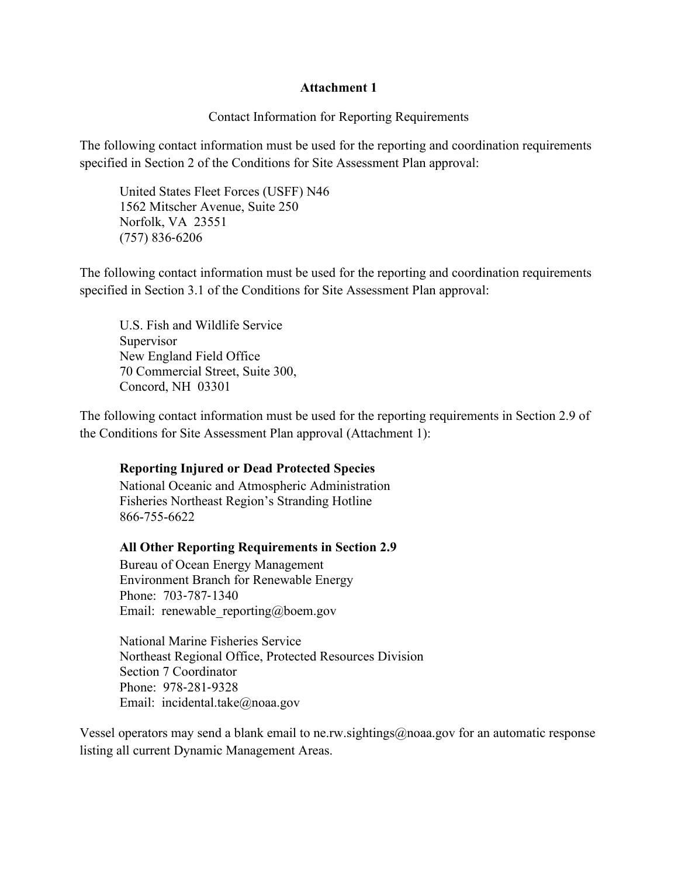## **Attachment 1**

Contact Information for Reporting Requirements

The following contact information must be used for the reporting and coordination requirements specified in Section 2 of the Conditions for Site Assessment Plan approval:

United States Fleet Forces (USFF) N46 1562 Mitscher Avenue, Suite 250 Norfolk, VA 23551 (757) 836‐6206

The following contact information must be used for the reporting and coordination requirements specified in Section 3.1 of the Conditions for Site Assessment Plan approval:

U.S. Fish and Wildlife Service Supervisor New England Field Office 70 Commercial Street, Suite 300, Concord, NH 03301

The following contact information must be used for the reporting requirements in Section 2.9 of the Conditions for Site Assessment Plan approval (Attachment 1):

## **Reporting Injured or Dead Protected Species**

National Oceanic and Atmospheric Administration Fisheries Northeast Region's Stranding Hotline 866-755-6622

#### **All Other Reporting Requirements in Section 2.9**

Bureau of Ocean Energy Management Environment Branch for Renewable Energy Phone: 703‐787‐1340 Email: renewable reporting@boem.gov

National Marine Fisheries Service Northeast Regional Office, Protected Resources Division Section 7 Coordinator Phone: 978‐281‐9328 Email: incidental.take@noaa.gov

Vessel operators may send a blank email to ne.rw.sightings@noaa.gov for an automatic response listing all current Dynamic Management Areas.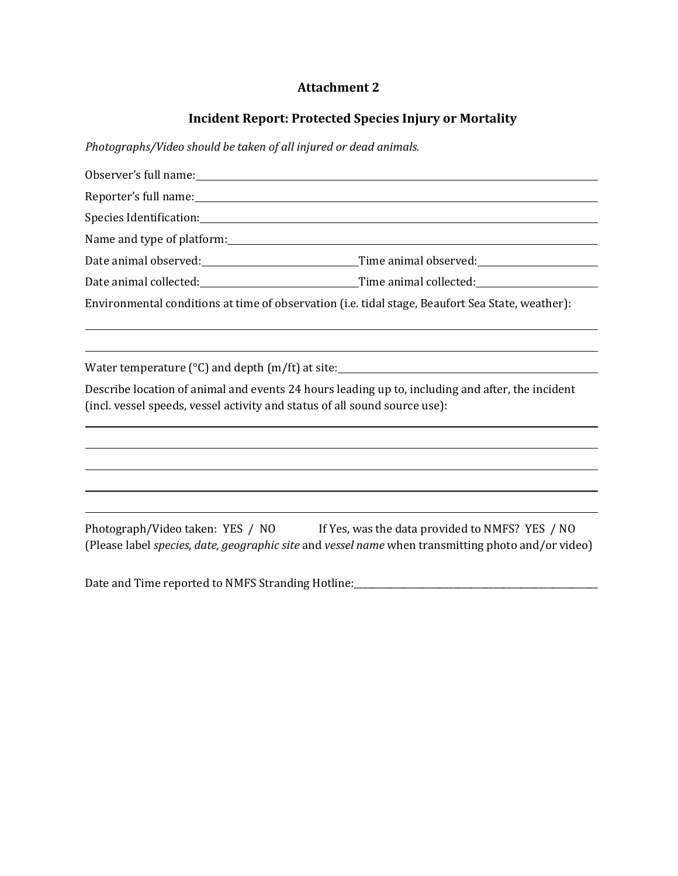## **Attachment 2**

# **Incident Report: Protected Species Injury or Mortality**

*Photographs/Video should be taken of all injured or dead animals.*

| Reporter's full name: Note and the set of the set of the set of the set of the set of the set of the set of the set of the set of the set of the set of the set of the set of the set of the set of the set of the set of the |                                                                                  |
|-------------------------------------------------------------------------------------------------------------------------------------------------------------------------------------------------------------------------------|----------------------------------------------------------------------------------|
|                                                                                                                                                                                                                               |                                                                                  |
| Name and type of platform:                                                                                                                                                                                                    |                                                                                  |
|                                                                                                                                                                                                                               |                                                                                  |
|                                                                                                                                                                                                                               |                                                                                  |
| Environmental conditions at time of observation (i.e. tidal stage, Beaufort Sea State, weather):                                                                                                                              |                                                                                  |
|                                                                                                                                                                                                                               | ,我们也不会有什么?""我们的人,我们也不会有什么?""我们的人,我们也不会有什么?""我们的人,我们也不会有什么?""我们的人,我们也不会有什么?""我们的人 |
| Water temperature ( $^{\circ}$ C) and depth (m/ft) at site: $\sqrt{\frac{m}{n}}$                                                                                                                                              |                                                                                  |
| Describe location of animal and events 24 hours leading up to, including and after, the incident<br>(incl. vessel speeds, vessel activity and status of all sound source use):                                                |                                                                                  |
|                                                                                                                                                                                                                               |                                                                                  |
|                                                                                                                                                                                                                               |                                                                                  |
| ,我们也不会有什么。""我们的人,我们也不会有什么?""我们的人,我们也不会有什么?""我们的人,我们也不会有什么?""我们的人,我们也不会有什么?""我们的人                                                                                                                                              |                                                                                  |
| Photograph/Video taken: YES / NO If Yes, was the data provided to NMFS? YES / NO<br>(Please label species, date, geographic site and vessel name when transmitting photo and/or video)                                        |                                                                                  |

Date and Time reported to NMFS Stranding Hotline:\_\_\_\_\_\_\_\_\_\_\_\_\_\_\_\_\_\_\_\_\_\_\_\_\_\_\_\_\_\_\_\_\_\_\_\_\_\_\_\_\_\_\_\_\_\_\_\_\_\_\_\_\_\_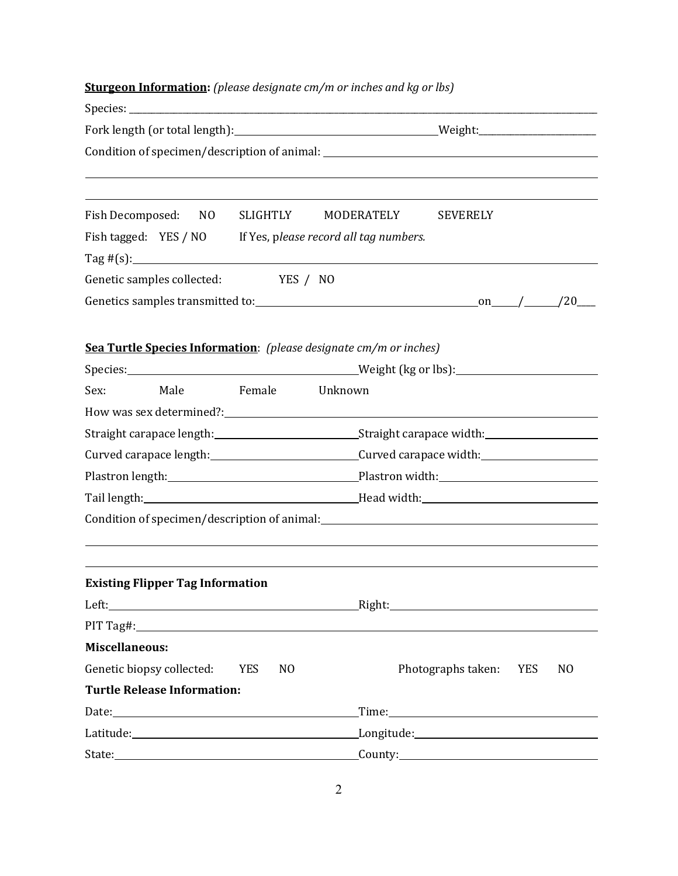| <b>Sturgeon Information:</b> (please designate cm/m or inches and kg or lbs) |                                                                                                                                                                                                                                |  |  |  |
|------------------------------------------------------------------------------|--------------------------------------------------------------------------------------------------------------------------------------------------------------------------------------------------------------------------------|--|--|--|
|                                                                              |                                                                                                                                                                                                                                |  |  |  |
|                                                                              |                                                                                                                                                                                                                                |  |  |  |
|                                                                              | Condition of specimen/description of animal: ___________________________________                                                                                                                                               |  |  |  |
| Fish Decomposed: NO                                                          | SLIGHTLY MODERATELY<br><b>SEVERELY</b>                                                                                                                                                                                         |  |  |  |
| Fish tagged: YES / NO If Yes, please record all tag numbers.                 |                                                                                                                                                                                                                                |  |  |  |
| Genetic samples collected: YES / NO                                          |                                                                                                                                                                                                                                |  |  |  |
|                                                                              |                                                                                                                                                                                                                                |  |  |  |
| Sea Turtle Species Information: (please designate cm/m or inches)            |                                                                                                                                                                                                                                |  |  |  |
| Sex:<br>Male<br>Female                                                       | Unknown                                                                                                                                                                                                                        |  |  |  |
|                                                                              |                                                                                                                                                                                                                                |  |  |  |
|                                                                              |                                                                                                                                                                                                                                |  |  |  |
|                                                                              | Curved carapace length:________________________________Curved carapace width:______________________                                                                                                                            |  |  |  |
|                                                                              |                                                                                                                                                                                                                                |  |  |  |
|                                                                              |                                                                                                                                                                                                                                |  |  |  |
|                                                                              | Condition of specimen/description of animal: \\esp \\esp \\esp \\esp \\esp \\esp \\esp \\esp \\esp \\esp \\esp \\esp \\esp \\esp \\esp \\esp \\esp \\esp \\esp \\esp \\esp \\esp \\esp \\esp \\esp \\esp \\esp \\esp \\esp \\e |  |  |  |
| <b>Existing Flipper Tag Information</b>                                      |                                                                                                                                                                                                                                |  |  |  |
|                                                                              |                                                                                                                                                                                                                                |  |  |  |
| PIT Tag#:                                                                    |                                                                                                                                                                                                                                |  |  |  |
| <b>Miscellaneous:</b>                                                        |                                                                                                                                                                                                                                |  |  |  |
| Genetic biopsy collected:<br><b>YES</b><br>N <sub>0</sub>                    | Photographs taken: YES<br>N <sub>0</sub>                                                                                                                                                                                       |  |  |  |
| <b>Turtle Release Information:</b>                                           |                                                                                                                                                                                                                                |  |  |  |
|                                                                              | Time:                                                                                                                                                                                                                          |  |  |  |
|                                                                              |                                                                                                                                                                                                                                |  |  |  |
|                                                                              | County: 2008 County:                                                                                                                                                                                                           |  |  |  |